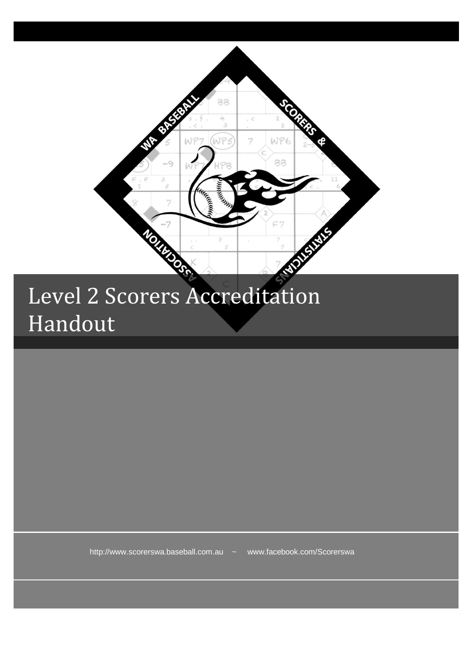

## Level 2 Scorers Accreditation Handout

http://www.scorerswa.baseball.com.au ~ www.facebook.com/Scorerswa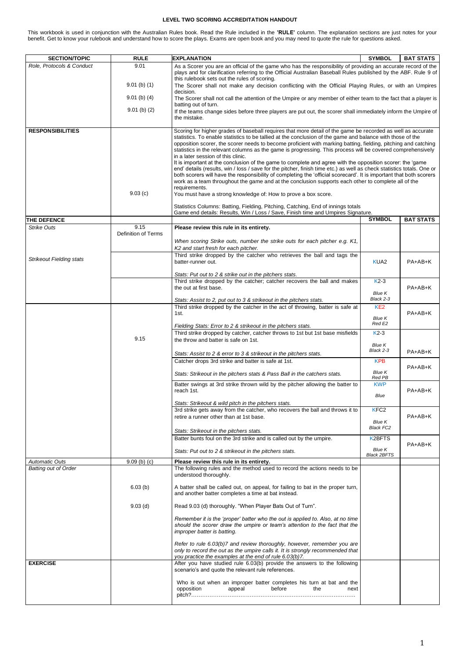## **LEVEL TWO SCORING ACCREDITATION HANDOUT**

This workbook is used in conjunction with the Australian Rules book. Read the Rule included in the **'RULE'** column. The explanation sections are just notes for your benefit. Get to know your rulebook and understand how to score the plays. Exams are open book and you may need to quote the rule for questions asked.

| <b>SECTION/TOPIC</b>            | <b>RULE</b><br>9.01 | <b>EXPLANATION</b>                                                                                                                                                                                                                                                                                                                                                                                                                                                                                                                                                                                                                                                                                                                                                                                                                                                                                                                                                                                                                                       | <b>SYMBOL</b>                       | <b>BAT STATS</b> |
|---------------------------------|---------------------|----------------------------------------------------------------------------------------------------------------------------------------------------------------------------------------------------------------------------------------------------------------------------------------------------------------------------------------------------------------------------------------------------------------------------------------------------------------------------------------------------------------------------------------------------------------------------------------------------------------------------------------------------------------------------------------------------------------------------------------------------------------------------------------------------------------------------------------------------------------------------------------------------------------------------------------------------------------------------------------------------------------------------------------------------------|-------------------------------------|------------------|
| Role, Protocols & Conduct       |                     | As a Scorer you are an official of the game who has the responsibility of providing an accurate record of the<br>plays and for clarification referring to the Official Australian Baseball Rules published by the ABF. Rule 9 of<br>this rulebook sets out the rules of scoring.                                                                                                                                                                                                                                                                                                                                                                                                                                                                                                                                                                                                                                                                                                                                                                         |                                     |                  |
|                                 | $9.01$ (b) (1)      | The Scorer shall not make any decision conflicting with the Official Playing Rules, or with an Umpires<br>decision.                                                                                                                                                                                                                                                                                                                                                                                                                                                                                                                                                                                                                                                                                                                                                                                                                                                                                                                                      |                                     |                  |
|                                 | $9.01$ (b) (4)      | The Scorer shall not call the attention of the Umpire or any member of either team to the fact that a player is<br>batting out of turn.                                                                                                                                                                                                                                                                                                                                                                                                                                                                                                                                                                                                                                                                                                                                                                                                                                                                                                                  |                                     |                  |
|                                 | $9.01$ (b) (2)      | If the teams change sides before three players are put out, the scorer shall immediately inform the Umpire of<br>the mistake.                                                                                                                                                                                                                                                                                                                                                                                                                                                                                                                                                                                                                                                                                                                                                                                                                                                                                                                            |                                     |                  |
| <b>RESPONSIBILITIES</b>         | 9.03(c)             | Scoring for higher grades of baseball requires that more detail of the game be recorded as well as accurate<br>statistics. To enable statistics to be tallied at the conclusion of the game and balance with those of the<br>opposition scorer, the scorer needs to become proficient with marking batting, fielding, pitching and catching<br>statistics in the relevant columns as the game is progressing. This process will be covered comprehensively<br>in a later session of this clinic.<br>It is important at the conclusion of the game to complete and agree with the opposition scorer: the 'game<br>end' details (results, win / loss / save for the pitcher, finish time etc.) as well as check statistics totals. One or<br>both scorers will have the responsibility of completing the 'official scorecard'. It is important that both scorers<br>work as a team throughout the game and at the conclusion supports each other to complete all of the<br>requirements.<br>You must have a strong knowledge of: How to prove a box score. |                                     |                  |
|                                 |                     | Statistics Columns: Batting, Fielding, Pitching, Catching, End of innings totals<br>Game end details: Results, Win / Loss / Save, Finish time and Umpires Signature.                                                                                                                                                                                                                                                                                                                                                                                                                                                                                                                                                                                                                                                                                                                                                                                                                                                                                     |                                     |                  |
| THE DEFENCE                     |                     |                                                                                                                                                                                                                                                                                                                                                                                                                                                                                                                                                                                                                                                                                                                                                                                                                                                                                                                                                                                                                                                          | <b>SYMBOL</b>                       | <b>BAT STATS</b> |
| <b>Strike Outs</b>              | 9.15                | Please review this rule in its entirety.                                                                                                                                                                                                                                                                                                                                                                                                                                                                                                                                                                                                                                                                                                                                                                                                                                                                                                                                                                                                                 |                                     |                  |
|                                 | Definition of Terms | When scoring Strike outs, number the strike outs for each pitcher e.g. K1,<br>K2 and start fresh for each pitcher.                                                                                                                                                                                                                                                                                                                                                                                                                                                                                                                                                                                                                                                                                                                                                                                                                                                                                                                                       |                                     |                  |
|                                 |                     | Third strike dropped by the catcher who retrieves the ball and tags the                                                                                                                                                                                                                                                                                                                                                                                                                                                                                                                                                                                                                                                                                                                                                                                                                                                                                                                                                                                  |                                     |                  |
| <b>Strikeout Fielding stats</b> |                     | batter-runner out.                                                                                                                                                                                                                                                                                                                                                                                                                                                                                                                                                                                                                                                                                                                                                                                                                                                                                                                                                                                                                                       | KUA <sub>2</sub>                    | PA+AB+K          |
|                                 |                     | Stats: Put out to 2 & strike out in the pitchers stats.                                                                                                                                                                                                                                                                                                                                                                                                                                                                                                                                                                                                                                                                                                                                                                                                                                                                                                                                                                                                  | $K2-3$                              |                  |
|                                 |                     | Third strike dropped by the catcher; catcher recovers the ball and makes<br>the out at first base.                                                                                                                                                                                                                                                                                                                                                                                                                                                                                                                                                                                                                                                                                                                                                                                                                                                                                                                                                       | <b>Blue K</b>                       | PA+AB+K          |
|                                 |                     | Stats: Assist to 2, put out to 3 & strikeout in the pitchers stats.                                                                                                                                                                                                                                                                                                                                                                                                                                                                                                                                                                                                                                                                                                                                                                                                                                                                                                                                                                                      | Black 2-3                           |                  |
|                                 |                     | Third strike dropped by the catcher in the act of throwing, batter is safe at<br>1st.                                                                                                                                                                                                                                                                                                                                                                                                                                                                                                                                                                                                                                                                                                                                                                                                                                                                                                                                                                    | KE <sub>2</sub><br><b>Blue K</b>    | PA+AB+K          |
|                                 |                     | Fielding Stats: Error to 2 & strikeout in the pitchers stats.                                                                                                                                                                                                                                                                                                                                                                                                                                                                                                                                                                                                                                                                                                                                                                                                                                                                                                                                                                                            | Red E2                              |                  |
|                                 | 9.15                | Third strike dropped by catcher, catcher throws to 1st but 1st base misfields<br>the throw and batter is safe on 1st.                                                                                                                                                                                                                                                                                                                                                                                                                                                                                                                                                                                                                                                                                                                                                                                                                                                                                                                                    | $K2-3$<br><b>Blue K</b>             |                  |
|                                 |                     | Stats: Assist to 2 & error to 3 & strikeout in the pitchers stats.                                                                                                                                                                                                                                                                                                                                                                                                                                                                                                                                                                                                                                                                                                                                                                                                                                                                                                                                                                                       | Black 2-3                           | PA+AB+K          |
|                                 |                     | Catcher drops 3rd strike and batter is safe at 1st.                                                                                                                                                                                                                                                                                                                                                                                                                                                                                                                                                                                                                                                                                                                                                                                                                                                                                                                                                                                                      | <b>KPB</b>                          | PA+AB+K          |
|                                 |                     | Stats: Strikeout in the pitchers stats & Pass Ball in the catchers stats.                                                                                                                                                                                                                                                                                                                                                                                                                                                                                                                                                                                                                                                                                                                                                                                                                                                                                                                                                                                | <b>Blue K</b><br>Red PB             |                  |
|                                 |                     | Batter swings at 3rd strike thrown wild by the pitcher allowing the batter to<br>reach 1st.                                                                                                                                                                                                                                                                                                                                                                                                                                                                                                                                                                                                                                                                                                                                                                                                                                                                                                                                                              | <b>KWP</b>                          | PA+AB+K          |
|                                 |                     | Stats: Strikeout & wild pitch in the pitchers stats.                                                                                                                                                                                                                                                                                                                                                                                                                                                                                                                                                                                                                                                                                                                                                                                                                                                                                                                                                                                                     | Blue                                |                  |
|                                 |                     | 3rd strike gets away from the catcher, who recovers the ball and throws it to                                                                                                                                                                                                                                                                                                                                                                                                                                                                                                                                                                                                                                                                                                                                                                                                                                                                                                                                                                            | KFC <sub>2</sub>                    |                  |
|                                 |                     | retire a runner other than at 1st base.                                                                                                                                                                                                                                                                                                                                                                                                                                                                                                                                                                                                                                                                                                                                                                                                                                                                                                                                                                                                                  | Blue K                              | PA+AB+K          |
|                                 |                     | Stats: Strikeout in the pitchers stats.                                                                                                                                                                                                                                                                                                                                                                                                                                                                                                                                                                                                                                                                                                                                                                                                                                                                                                                                                                                                                  | <b>Black FC2</b>                    |                  |
|                                 |                     | Batter bunts foul on the 3rd strike and is called out by the umpire.                                                                                                                                                                                                                                                                                                                                                                                                                                                                                                                                                                                                                                                                                                                                                                                                                                                                                                                                                                                     | K2BFTS                              |                  |
|                                 |                     | Stats: Put out to 2 & strikeout in the pitchers stats.                                                                                                                                                                                                                                                                                                                                                                                                                                                                                                                                                                                                                                                                                                                                                                                                                                                                                                                                                                                                   | <b>Blue K</b><br><b>Black 2BFTS</b> | PA+AB+K          |
| <b>Automatic Outs</b>           | $9.09$ (b) (c)      | Please review this rule in its entirety.                                                                                                                                                                                                                                                                                                                                                                                                                                                                                                                                                                                                                                                                                                                                                                                                                                                                                                                                                                                                                 |                                     |                  |
| Batting out of Order            |                     | The following rules and the method used to record the actions needs to be<br>understood thoroughly.                                                                                                                                                                                                                                                                                                                                                                                                                                                                                                                                                                                                                                                                                                                                                                                                                                                                                                                                                      |                                     |                  |
|                                 | 6.03(b)             | A batter shall be called out, on appeal, for failing to bat in the proper turn,<br>and another batter completes a time at bat instead.                                                                                                                                                                                                                                                                                                                                                                                                                                                                                                                                                                                                                                                                                                                                                                                                                                                                                                                   |                                     |                  |
|                                 | $9.03$ (d)          | Read 9.03 (d) thoroughly. "When Player Bats Out of Turn".                                                                                                                                                                                                                                                                                                                                                                                                                                                                                                                                                                                                                                                                                                                                                                                                                                                                                                                                                                                                |                                     |                  |
|                                 |                     | Remember it is the 'proper' batter who the out is applied to. Also, at no time<br>should the scorer draw the umpire or team's attention to the fact that the<br>improper batter is batting.                                                                                                                                                                                                                                                                                                                                                                                                                                                                                                                                                                                                                                                                                                                                                                                                                                                              |                                     |                  |
|                                 |                     | Refer to rule 6.03(b)7 and review thoroughly, however, remember you are<br>only to record the out as the umpire calls it. It is strongly recommended that<br>you practice the examples at the end of rule 6.03(b)7.                                                                                                                                                                                                                                                                                                                                                                                                                                                                                                                                                                                                                                                                                                                                                                                                                                      |                                     |                  |
| <b>EXERCISE</b>                 |                     | After you have studied rule 6.03(b) provide the answers to the following<br>scenario's and quote the relevant rule references.                                                                                                                                                                                                                                                                                                                                                                                                                                                                                                                                                                                                                                                                                                                                                                                                                                                                                                                           |                                     |                  |
|                                 |                     | Who is out when an improper batter completes his turn at bat and the<br>opposition<br>appeal<br>before<br>the<br>next                                                                                                                                                                                                                                                                                                                                                                                                                                                                                                                                                                                                                                                                                                                                                                                                                                                                                                                                    |                                     |                  |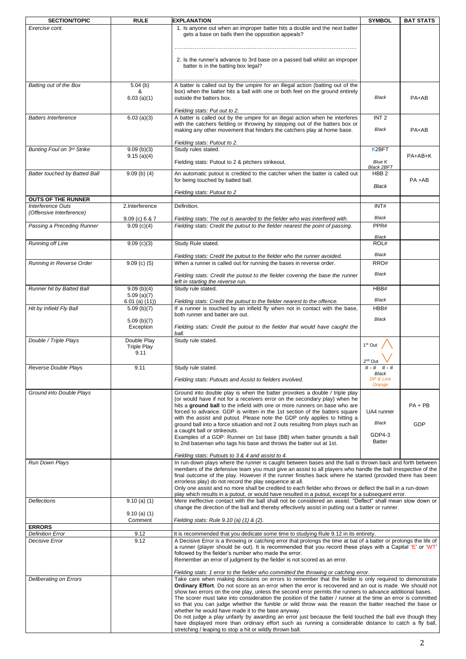| <b>SECTION/TOPIC</b>                          | <b>RULE</b>                               | <b>EXPLANATION</b>                                                                                                                                                                                                                                                                  | <b>SYMBOL</b>                      | <b>BAT STATS</b> |
|-----------------------------------------------|-------------------------------------------|-------------------------------------------------------------------------------------------------------------------------------------------------------------------------------------------------------------------------------------------------------------------------------------|------------------------------------|------------------|
| Exercise cont.                                |                                           | 1. Is anyone out when an improper batter hits a double and the next batter<br>gets a base on balls then the opposition appeals?                                                                                                                                                     |                                    |                  |
|                                               |                                           | 2. Is the runner's advance to 3rd base on a passed ball whilst an improper<br>batter is in the batting box legal?                                                                                                                                                                   |                                    |                  |
| Batting out of the Box                        | 5.04(b)                                   | A batter is called out by the umpire for an illegal action (batting out of the                                                                                                                                                                                                      |                                    |                  |
|                                               | &<br>$6.03$ (a)(1)                        | box) when the batter hits a ball with one or both feet on the ground entirely<br>outside the batters box.<br>Fielding stats: Put out to 2.                                                                                                                                          | Black                              | PA+AB            |
| <b>Batters Interference</b>                   | $6.03$ (a)(3)                             | A batter is called out by the umpire for an illegal action when he interferes<br>with the catchers fielding or throwing by stepping out of the batters box or<br>making any other movement that hinders the catchers play at home base.                                             | INT <sub>2</sub><br>Black          | PA+AB            |
| Bunting Foul on 3rd Strike                    | 9.09(b)(3)                                | Fielding stats: Putout to 2.<br>Study rules stated.                                                                                                                                                                                                                                 | K <sub>2</sub> BFT                 |                  |
|                                               | 9.15(a)(4)                                | Fielding stats: Putout to 2 & pitchers strikeout.                                                                                                                                                                                                                                   | <b>Blue K</b><br><b>Black 2BFT</b> | PA+AB+K          |
| Batter touched by Batted Ball                 | $9.09$ (b) (4)                            | An automatic putout is credited to the catcher when the batter is called out<br>for being touched by batted ball.                                                                                                                                                                   | HBB <sub>2</sub><br><b>Black</b>   | $PA + AB$        |
|                                               |                                           | Fielding stats: Putout to 2                                                                                                                                                                                                                                                         |                                    |                  |
| <b>OUTS OF THE RUNNER</b>                     |                                           |                                                                                                                                                                                                                                                                                     |                                    |                  |
| Interference Outs<br>(Offensive Interference) | 2.Interference<br>$9.09$ (c) 6 & 7        | Definition.<br>Fielding stats: The out is awarded to the fielder who was interfered with.                                                                                                                                                                                           | INT#<br>Black                      |                  |
| Passing a Preceding Runner                    | 9.09(c)(4)                                | Fielding stats: Credit the putout to the fielder nearest the point of passing.                                                                                                                                                                                                      | PPR#                               |                  |
|                                               |                                           |                                                                                                                                                                                                                                                                                     | Black                              |                  |
| Running off Line                              | 9.09(c)(3)                                | Study Rule stated.                                                                                                                                                                                                                                                                  | ROL#                               |                  |
| Running in Reverse Order                      | $9.09$ (c) (5)                            | Fielding stats: Credit the putout to the fielder who the runner avoided.<br>When a runner is called out for running the bases in reverse order.                                                                                                                                     | Black<br>RRO#                      |                  |
|                                               |                                           | Fielding stats: Credit the putout to the fielder covering the base the runner<br>left in starting the reverse run.                                                                                                                                                                  | Black                              |                  |
| Runner hit by Batted Ball                     | 9.09(b)(4)<br>5.09(a)(7)                  | Study rule stated.                                                                                                                                                                                                                                                                  | HBB#                               |                  |
| Hit by Infield Fly Ball                       | $6.01$ (a) $(11)$ )                       | Fielding stats: Credit the putout to the fielder nearest to the offence.<br>If a runner is touched by an infield fly when not in contact with the base,                                                                                                                             | Black<br>HBB#                      |                  |
|                                               | 5.09 (b)(7)                               | both runner and batter are out.                                                                                                                                                                                                                                                     | Black                              |                  |
|                                               | 5.09(b)(7)<br>Exception                   | Fielding stats: Credit the putout to the fielder that would have caught the<br>ball.                                                                                                                                                                                                |                                    |                  |
| Double / Triple Plays                         | Double Play<br><b>Triple Play</b><br>9.11 | Study rule stated.                                                                                                                                                                                                                                                                  | 1 <sup>st</sup> Out<br>$2nd$ Out   |                  |
| Reverse Double Plays                          | 9.11                                      | Study rule stated.                                                                                                                                                                                                                                                                  | # - #                              |                  |
|                                               |                                           | Fielding stats: Putouts and Assist to fielders involved.                                                                                                                                                                                                                            | Black<br>DP & Line<br>Orange       |                  |
| Ground into Double Plays                      |                                           | Ground into double play is when the batter provokes a double / triple play                                                                                                                                                                                                          |                                    |                  |
|                                               |                                           | (or would have if not for a receivers error on the secondary play) when he<br>hits a ground ball to the infield with one or more runners on base who are                                                                                                                            |                                    | $PA + PB$        |
|                                               |                                           | forced to advance. GDP is written in the 1st section of the batters square                                                                                                                                                                                                          | UA4 runner                         |                  |
|                                               |                                           | with the assist and putout. Please note the GDP only applies to hitting a<br>ground ball into a force situation and not 2 outs resulting from plays such as                                                                                                                         | Black                              | GDP              |
|                                               |                                           | a caught ball or strikeouts.<br>Examples of a GDP: Runner on 1st base (BB) when batter grounds a ball                                                                                                                                                                               | GDP4-3                             |                  |
|                                               |                                           | to 2nd baseman who tags his base and throws the batter out at 1st.                                                                                                                                                                                                                  | Batter                             |                  |
| Run Down Plays                                |                                           | Fielding stats: Putouts to 3 & 4 and assist to 4.<br>In run-down plays where the runner is caught between bases and the ball is thrown back and forth between                                                                                                                       |                                    |                  |
|                                               |                                           | members of the defensive team you must give an assist to all players who handle the ball irrespective of the<br>final outcome of the play. However if the runner finishes back where he started (provided there has been<br>errorless play) do not record the play sequence at all. |                                    |                  |
|                                               |                                           | Only one assist and no more shall be credited to each fielder who throws or deflect the ball in a run-down                                                                                                                                                                          |                                    |                  |
| Deflections                                   | $9.10$ (a) (1)                            | play which results in a putout, or would have resulted in a putout, except for a subsequent error.<br>Mere ineffective contact with the ball shall not be considered an assist. "Deflect" shall mean slow down or                                                                   |                                    |                  |
|                                               | $9.10$ (a) (1)                            | change the direction of the ball and thereby effectively assist in putting out a batter or runner.                                                                                                                                                                                  |                                    |                  |
| <b>ERRORS</b>                                 | Comment                                   | Fielding stats: Rule 9.10 (a) (1) & (2).                                                                                                                                                                                                                                            |                                    |                  |
| <b>Definition Error</b>                       | 9.12                                      | It is recommended that you dedicate some time to studying Rule 9.12 in its entirety.                                                                                                                                                                                                |                                    |                  |
| Decisive Error                                | 9.12                                      | A Decisive Error is a throwing or catching error that prolongs the time at bat of a batter or prolongs the life of                                                                                                                                                                  |                                    |                  |
|                                               |                                           | a runner (player should be out). It is recommended that you record these plays with a Capital 'E' or 'WT'<br>followed by the fielder's number who made the error.<br>Remember an error of judgment by the fielder is not scored as an error.                                        |                                    |                  |
|                                               |                                           | Fielding stats: 1 error to the fielder who committed the throwing or catching error.                                                                                                                                                                                                |                                    |                  |
| Deliberating on Errors                        |                                           | Take care when making decisions on errors to remember that the fielder is only required to demonstrate                                                                                                                                                                              |                                    |                  |
|                                               |                                           | Ordinary Effort. Do not score as an error when the error is recovered and an out is made. We should not<br>show two errors on the one play, unless the second error permits the runners to advance additional bases.                                                                |                                    |                  |
|                                               |                                           | The scorer must take into consideration the position of the batter / runner at the time an error is committed                                                                                                                                                                       |                                    |                  |
|                                               |                                           | so that you can judge whether the fumble or wild throw was the reason the batter reached the base or<br>whether he would have made it to the base anyway.                                                                                                                           |                                    |                  |
|                                               |                                           | Do not judge a play unfairly by awarding an error just because the field touched the ball eve though they                                                                                                                                                                           |                                    |                  |
|                                               |                                           | have displayed more than ordinary effort such as running a considerable distance to catch a fly ball,<br>stretching / leaping to stop a hit or wildly thrown ball.                                                                                                                  |                                    |                  |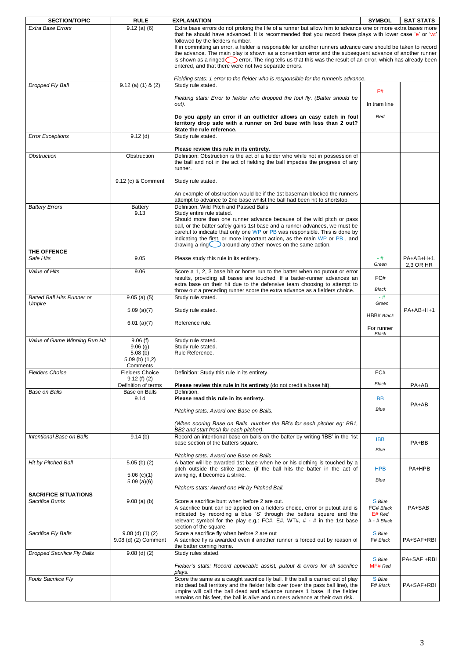| <b>SECTION/TOPIC</b>                           | <b>RULE</b>                                | <b>EXPLANATION</b>                                                                                                                                                                                                                                                                                                                                                                                         | <b>SYMBOL</b>                          | <b>BAT STATS</b>        |
|------------------------------------------------|--------------------------------------------|------------------------------------------------------------------------------------------------------------------------------------------------------------------------------------------------------------------------------------------------------------------------------------------------------------------------------------------------------------------------------------------------------------|----------------------------------------|-------------------------|
| Extra Base Errors                              | $9.12$ (a) (6)                             | Extra base errors do not prolong the life of a runner but allow him to advance one or more extra bases more<br>that he should have advanced. It is recommended that you record these plays with lower case 'e' or 'wt'<br>followed by the fielders number.                                                                                                                                                 |                                        |                         |
|                                                |                                            | If in committing an error, a fielder is responsible for another runners advance care should be taken to record<br>the advance. The main play is shown as a convention error and the subsequent advance of another runner<br>is shown as a ringed $\bigcirc$ error. The ring tells us that this was the result of an error, which has already been<br>entered, and that there were not two separate errors. |                                        |                         |
| Dropped Fly Ball                               | $9.12$ (a) (1) & (2)                       | Fielding stats: 1 error to the fielder who is responsible for the runner/s advance.<br>Study rule stated.                                                                                                                                                                                                                                                                                                  |                                        |                         |
|                                                |                                            | Fielding stats: Error to fielder who dropped the foul fly. (Batter should be<br>out).                                                                                                                                                                                                                                                                                                                      | F#<br>In tram line                     |                         |
|                                                |                                            | Do you apply an error if an outfielder allows an easy catch in foul<br>territory drop safe with a runner on 3rd base with less than 2 out?                                                                                                                                                                                                                                                                 | Red                                    |                         |
| <b>Error Exceptions</b>                        | $9.12$ (d)                                 | State the rule reference.<br>Study rule stated.                                                                                                                                                                                                                                                                                                                                                            |                                        |                         |
|                                                |                                            | Please review this rule in its entirety.                                                                                                                                                                                                                                                                                                                                                                   |                                        |                         |
| <b>Obstruction</b>                             | Obstruction                                | Definition: Obstruction is the act of a fielder who while not in possession of<br>the ball and not in the act of fielding the ball impedes the progress of any<br>runner.                                                                                                                                                                                                                                  |                                        |                         |
|                                                | 9.12 (c) & Comment                         | Study rule stated.                                                                                                                                                                                                                                                                                                                                                                                         |                                        |                         |
|                                                |                                            | An example of obstruction would be if the 1st baseman blocked the runners<br>attempt to advance to 2nd base whilst the ball had been hit to shortstop.                                                                                                                                                                                                                                                     |                                        |                         |
| <b>Battery Errors</b>                          | <b>Battery</b><br>9.13                     | Definition. Wild Pitch and Passed Balls<br>Study entire rule stated.                                                                                                                                                                                                                                                                                                                                       |                                        |                         |
|                                                |                                            | Should more than one runner advance because of the wild pitch or pass<br>ball, or the batter safely gains 1st base and a runner advances, we must be<br>careful to indicate that only one WP or PB was responsible. This is done by<br>indicating the first, or more important action, as the main WP or PB, and                                                                                           |                                        |                         |
| THE OFFENCE                                    |                                            | drawing a ring $\bigcirc$ around any other moves on the same action.                                                                                                                                                                                                                                                                                                                                       |                                        |                         |
| Safe Hits                                      | 9.05                                       | Please study this rule in its entirety.                                                                                                                                                                                                                                                                                                                                                                    | $-#$<br>Green                          | PA+AB+H+1,<br>2,3 OR HR |
| Value of Hits                                  | 9.06                                       | Score a 1, 2, 3 base hit or home run to the batter when no putout or error<br>results, providing all bases are touched. If a batter-runner advances an<br>extra base on their hit due to the defensive team choosing to attempt to                                                                                                                                                                         | FC#<br>Black                           |                         |
| <b>Batted Ball Hits Runner or</b>              | $9.05$ (a) (5)                             | throw out a preceding runner score the extra advance as a fielders choice.<br>Study rule stated.                                                                                                                                                                                                                                                                                                           | $-#$                                   |                         |
| Umpire                                         | $5.09$ (a)(7)                              | Study rule stated.                                                                                                                                                                                                                                                                                                                                                                                         | Green                                  | $PA+AB+H+1$             |
|                                                | 6.01 (a)(7)                                | Reference rule.                                                                                                                                                                                                                                                                                                                                                                                            | HBB# Black<br>For runner               |                         |
| Value of Game Winning Run Hit                  | 9.06(f)                                    | Study rule stated.                                                                                                                                                                                                                                                                                                                                                                                         | Black                                  |                         |
|                                                | 9.06(g)                                    | Study rule stated.                                                                                                                                                                                                                                                                                                                                                                                         |                                        |                         |
|                                                | 5.08(b)<br>$5.09$ (b) $(1,2)$<br>Comments  | Rule Reference.                                                                                                                                                                                                                                                                                                                                                                                            |                                        |                         |
| <b>Fielders Choice</b>                         | <b>Fielders Choice</b><br>9.12(f)(2)       | Definition: Study this rule in its entirety.                                                                                                                                                                                                                                                                                                                                                               | FC#                                    |                         |
|                                                | Definition of terms                        | Please review this rule in its entirety (do not credit a base hit).                                                                                                                                                                                                                                                                                                                                        | Black                                  | PA+AB                   |
| Base on Balls                                  | Base on Balls<br>9.14                      | Definition.<br>Please read this rule in its entirety.                                                                                                                                                                                                                                                                                                                                                      | <b>BB</b>                              | PA+AB                   |
|                                                |                                            | Pitching stats: Award one Base on Balls.                                                                                                                                                                                                                                                                                                                                                                   | Blue                                   |                         |
|                                                |                                            | (When scoring Base on Balls, number the BB's for each pitcher eg: BB1,<br>BB2 and start fresh for each pitcher).                                                                                                                                                                                                                                                                                           |                                        |                         |
| Intentional Base on Balls                      | 9.14(b)                                    | Record an intentional base on balls on the batter by writing 'IBB' in the 1st<br>base section of the batters square.                                                                                                                                                                                                                                                                                       | <b>IBB</b><br>Blue                     | PA+BB                   |
|                                                |                                            | Pitching stats: Award one Base on Balls<br>A batter will be awarded 1st base when he or his clothing is touched by a                                                                                                                                                                                                                                                                                       |                                        |                         |
| Hit by Pitched Ball                            | $5.05$ (b) (2)<br>$5.06$ (c)(1)            | pitch outside the strike zone. (if the ball hits the batter in the act of<br>swinging, it becomes a strike.                                                                                                                                                                                                                                                                                                | <b>HPB</b>                             | PA+HPB                  |
|                                                | $5.09$ (a)(6)                              | Pitchers stats: Award one Hit by Pitched Ball.                                                                                                                                                                                                                                                                                                                                                             | Blue                                   |                         |
| <b>SACRIFICE SITUATIONS</b><br>Sacrifice Bunts | $9.08$ (a) (b)                             | Score a sacrifice bunt when before 2 are out.                                                                                                                                                                                                                                                                                                                                                              | S Blue                                 |                         |
|                                                |                                            | A sacrifice bunt can be applied on a fielders choice, error or putout and is<br>indicated by recording a blue 'S' through the batters square and the<br>relevant symbol for the play e.g.: $FC#$ , $E#$ , WT#, $#$ - $#$ in the 1st base<br>section of the square.                                                                                                                                         | FC# Black<br>$E#$ Red<br>$# - # Black$ | PA+SAB                  |
| Sacrifice Fly Balls                            | $9.08$ (d) (1) (2)<br>9.08 (d) (2) Comment | Score a sacrifice fly when before 2 are out<br>A sacrifice fly is awarded even if another runner is forced out by reason of<br>the batter coming home.                                                                                                                                                                                                                                                     | S Blue<br>F# Black                     | PA+SAF+RBI              |
| Dropped Sacrifice Fly Balls                    | $9.08$ (d) (2)                             | Study rules stated.<br>Fielder's stats: Record applicable assist, putout & errors for all sacrifice                                                                                                                                                                                                                                                                                                        | S Blue<br>MF# Red                      | PA+SAF +RBI             |
| <b>Fouls Sacrifice Fly</b>                     |                                            | plays.<br>Score the same as a caught sacrifice fly ball. If the ball is carried out of play<br>into dead ball territory and the fielder falls over (over the pass ball line), the<br>umpire will call the ball dead and advance runners 1 base. If the fielder<br>remains on his feet, the ball is alive and runners advance at their own risk.                                                            | S Blue<br>F# Black                     | PA+SAF+RBI              |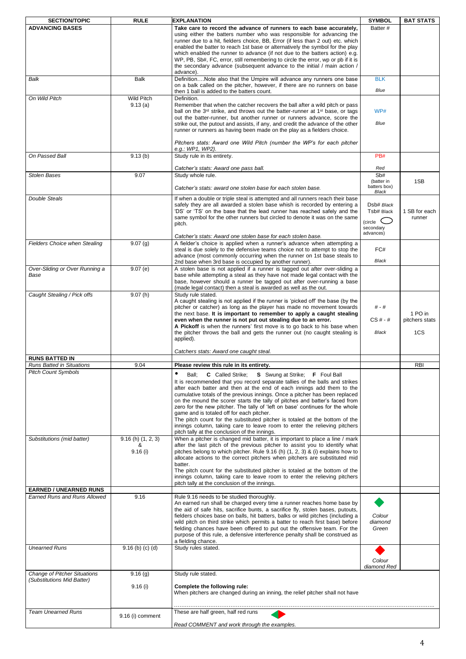| <b>SECTION/TOPIC</b>                                          | <b>RULE</b>                           | <b>EXPLANATION</b>                                                                                                                                                                                                                                                                                                                                                                                                                                                                                                                                                                                                                                                                                                                              | <b>SYMBOL</b>                                                          | <b>BAT STATS</b>                 |
|---------------------------------------------------------------|---------------------------------------|-------------------------------------------------------------------------------------------------------------------------------------------------------------------------------------------------------------------------------------------------------------------------------------------------------------------------------------------------------------------------------------------------------------------------------------------------------------------------------------------------------------------------------------------------------------------------------------------------------------------------------------------------------------------------------------------------------------------------------------------------|------------------------------------------------------------------------|----------------------------------|
| <b>ADVANCING BASES</b>                                        |                                       | Take care to record the advance of runners to each base accurately,<br>using either the batters number who was responsible for advancing the<br>runner due to a hit, fielders choice, BB, Error (if less than 2 out) etc. which<br>enabled the batter to reach 1st base or alternatively the symbol for the play<br>which enabled the runner to advance (if not due to the batters action) e.g.<br>WP, PB, Sb#, FC, error, still remembering to circle the error, wp or pb if it is<br>the secondary advance (subsequent advance to the initial / main action /<br>advance).                                                                                                                                                                    | Batter #                                                               |                                  |
| Balk                                                          | Balk                                  | DefinitionNote also that the Umpire will advance any runners one base<br>on a balk called on the pitcher, however, if there are no runners on base<br>then 1 ball is added to the batters count.                                                                                                                                                                                                                                                                                                                                                                                                                                                                                                                                                | <b>BLK</b><br>Blue                                                     |                                  |
| On Wild Pitch                                                 | Wild Pitch<br>9.13(a)                 | Definition.<br>Remember that when the catcher recovers the ball after a wild pitch or pass<br>ball on the 3 <sup>rd</sup> strike, and throws out the batter-runner at 1 <sup>st</sup> base, or tags<br>out the batter-runner, but another runner or runners advance, score the<br>strike out, the putout and assists, if any, and credit the advance of the other<br>runner or runners as having been made on the play as a fielders choice.<br>Pitchers stats: Award one Wild Pitch (number the WP's for each pitcher<br>e.g.: WP1, WP2).                                                                                                                                                                                                      | WP#<br>Blue                                                            |                                  |
| On Passed Ball                                                | 9.13(b)                               | Study rule in its entirety.                                                                                                                                                                                                                                                                                                                                                                                                                                                                                                                                                                                                                                                                                                                     | PB#                                                                    |                                  |
| <b>Stolen Bases</b>                                           | 9.07                                  | Catcher's stats: Award one pass ball.<br>Study whole rule.<br>Catcher's stats: award one stolen base for each stolen base.                                                                                                                                                                                                                                                                                                                                                                                                                                                                                                                                                                                                                      | Red<br>Sb#<br>(batter in<br>batters box)                               | 1SB                              |
| Double Steals                                                 |                                       | If when a double or triple steal is attempted and all runners reach their base<br>safely they are all awarded a stolen base whish is recorded by entering a<br>'DS' or 'TS' on the base that the lead runner has reached safely and the<br>same symbol for the other runners but circled to denote it was on the same<br>pitch.<br>Catcher's stats: Award one stolen base for each stolen base.                                                                                                                                                                                                                                                                                                                                                 | Black<br>Dsb# Black<br>Tsb# Black<br>(circle<br>secondary<br>advances) | 1 SB for each<br>runner          |
| <b>Fielders Choice when Stealing</b>                          | 9.07(g)                               | A fielder's choice is applied when a runner's advance when attempting a<br>steal is due solely to the defensive teams choice not to attempt to stop the<br>advance (most commonly occurring when the runner on 1st base steals to<br>2nd base when 3rd base is occupied by another runner).                                                                                                                                                                                                                                                                                                                                                                                                                                                     | FC#<br>Black                                                           |                                  |
| Over-Sliding or Over Running a<br>Base                        | 9.07(e)                               | A stolen base is not applied if a runner is tagged out after over-sliding a<br>base while attempting a steal as they have not made legal contact with the<br>base, however should a runner be tagged out after over-running a base<br>(made legal contact) then a steal is awarded as well as the out.                                                                                                                                                                                                                                                                                                                                                                                                                                          |                                                                        |                                  |
| Caught Stealing / Pick offs                                   | 9.07(h)                               | Study rule stated.<br>A caught stealing is not applied if the runner is 'picked off' the base (by the<br>pitcher or catcher) as long as the player has made no movement towards<br>the next base. It is important to remember to apply a caught stealing<br>even when the runner is not put out stealing due to an error.<br>A Pickoff is when the runners' first move is to go back to his base when<br>the pitcher throws the ball and gets the runner out (no caught stealing is<br>applied).                                                                                                                                                                                                                                                | # - #<br>$CS# - #$<br>Black                                            | 1 PO in<br>pitchers stats<br>1CS |
| <b>RUNS BATTED IN</b>                                         |                                       | Catchers stats: Award one caught steal.                                                                                                                                                                                                                                                                                                                                                                                                                                                                                                                                                                                                                                                                                                         |                                                                        |                                  |
| <b>Runs Batted in Situations</b>                              | 9.04                                  | Please review this rule in its entirety.                                                                                                                                                                                                                                                                                                                                                                                                                                                                                                                                                                                                                                                                                                        |                                                                        | <b>RBI</b>                       |
| <b>Pitch Count Symbols</b>                                    |                                       | ٠<br>Ball;<br>C Called Strike;<br><b>S</b> Swung at Strike; <b>F</b> Foul Ball<br>It is recommended that you record separate tallies of the balls and strikes<br>after each batter and then at the end of each innings add them to the<br>cumulative totals of the previous innings. Once a pitcher has been replaced<br>on the mound the scorer starts the tally of pitches and batter's faced from<br>zero for the new pitcher. The tally of 'left on base' continues for the whole<br>game and is totaled off for each pitcher.<br>The pitch count for the substituted pitcher is totaled at the bottom of the<br>innings column, taking care to leave room to enter the relieving pitchers<br>pitch tally at the conclusion of the innings. |                                                                        |                                  |
| Substitutions (mid batter)                                    | $9.16(h)$ $(1, 2, 3)$<br>&<br>9.16(i) | When a pitcher is changed mid batter, it is important to place a line / mark<br>after the last pitch of the previous pitcher to assist you to identify what<br>pitches belong to which pitcher. Rule 9.16 (h) (1, 2, 3) & (i) explains how to<br>allocate actions to the correct pitchers when pitchers are substituted mid<br>batter.<br>The pitch count for the substituted pitcher is totaled at the bottom of the<br>innings column, taking care to leave room to enter the relieving pitchers<br>pitch tally at the conclusion of the innings.                                                                                                                                                                                             |                                                                        |                                  |
| <b>EARNED / UNEARNED RUNS</b><br>Earned Runs and Runs Allowed |                                       |                                                                                                                                                                                                                                                                                                                                                                                                                                                                                                                                                                                                                                                                                                                                                 |                                                                        |                                  |
|                                                               | 9.16                                  | Rule 9.16 needs to be studied thoroughly.<br>An earned run shall be charged every time a runner reaches home base by<br>the aid of safe hits, sacrifice bunts, a sacrifice fly, stolen bases, putouts,<br>fielders choices base on balls, hit batters, balks or wild pitches (including a<br>wild pitch on third strike which permits a batter to reach first base) before<br>fielding chances have been offered to put out the offensive team. For the<br>purpose of this rule, a defensive interference penalty shall be construed as<br>a fielding chance.                                                                                                                                                                                   | Colour<br>diamond<br>Green                                             |                                  |
| <b>Unearned Runs</b>                                          | $9.16$ (b) (c) (d)                    | Study rules stated.                                                                                                                                                                                                                                                                                                                                                                                                                                                                                                                                                                                                                                                                                                                             | Colour<br>diamond Red                                                  |                                  |
| <b>Change of Pitcher Situations</b>                           | 9.16(g)                               | Study rule stated.                                                                                                                                                                                                                                                                                                                                                                                                                                                                                                                                                                                                                                                                                                                              |                                                                        |                                  |
| (Substitutions Mid Batter)                                    | 9.16(i)                               | Complete the following rule:<br>When pitchers are changed during an inning, the relief pitcher shall not have                                                                                                                                                                                                                                                                                                                                                                                                                                                                                                                                                                                                                                   |                                                                        |                                  |
| <b>Team Unearned Runs</b>                                     | 9.16 (i) comment                      | These are half green, half red runs                                                                                                                                                                                                                                                                                                                                                                                                                                                                                                                                                                                                                                                                                                             |                                                                        |                                  |
|                                                               |                                       | Read COMMENT and work through the examples.                                                                                                                                                                                                                                                                                                                                                                                                                                                                                                                                                                                                                                                                                                     |                                                                        |                                  |